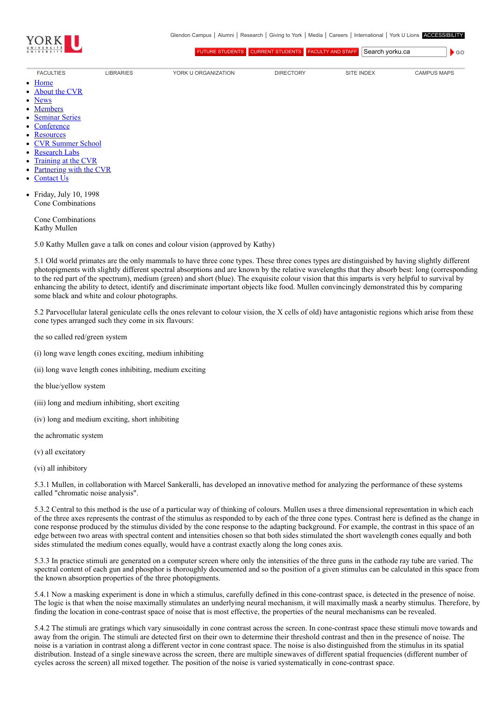

[FUTURE STUDENTS](http://futurestudents.yorku.ca/) [CURRENT STUDENTS](http://www.yorku.ca/yorkweb/cs.htm) [FACULTY AND STAFF](http://www.yorku.ca/yorkweb/fs.htm) Search vorku.ca

 $\bullet$  GO

- [FACULTIES](http://www.yorku.ca/yorkweb/faculties.htm) [LIBRARIES](http://www.library.yorku.ca/) [YORK U ORGANIZATION](http://www.yorku.ca/yorkweb/org.htm) [DIRECTORY](http://www.yorku.ca/yorkatlas) [SITE INDEX](http://www.yorku.ca/yorkweb/siteindex.htm) [CAMPUS MAPS](http://www.yorku.ca/yorkweb/maps/)
- $\bullet$ **[Home](file:///C:/)**
- [About the CVR](file:///C:/content/about-cvr)
- [News](file:///C:/newslatest)
- $\bullet$ **[Members](file:///C:/category/faculty/york-faculty)**
- [Seminar Series](file:///C:/content/seminar-series)  $\bullet$
- **[Conference](file:///C:/conferencearchive)**
- **[Resources](file:///C:/content/resources)**  $\bullet$
- [CVR Summer School](http://cvrss.info.yorku.ca/)
- [Research Labs](file:///C:/content/research-labs)
- [Training at the CVR](file:///C:/content/training-cvr-0)
- [Partnering with the CVR](file:///C:/content/partnering-cvr-0)  $\bullet$
- [Contact Us](file:///C:/content/contact-cvr)
- Friday, July 10, 1998 Cone Combinations

Cone Combinations Kathy Mullen

5.0 Kathy Mullen gave a talk on cones and colour vision (approved by Kathy)

5.1 Old world primates are the only mammals to have three cone types. These three cones types are distinguished by having slightly different photopigments with slightly different spectral absorptions and are known by the relative wavelengths that they absorb best: long (corresponding to the red part of the spectrum), medium (green) and short (blue). The exquisite colour vision that this imparts is very helpful to survival by enhancing the ability to detect, identify and discriminate important objects like food. Mullen convincingly demonstrated this by comparing some black and white and colour photographs.

5.2 Parvocellular lateral geniculate cells the ones relevant to colour vision, the X cells of old) have antagonistic regions which arise from these cone types arranged such they come in six flavours:

the so called red/green system

- (i) long wave length cones exciting, medium inhibiting
- (ii) long wave length cones inhibiting, medium exciting
- the blue/yellow system
- (iii) long and medium inhibiting, short exciting
- (iv) long and medium exciting, short inhibiting
- the achromatic system
- (v) all excitatory
- (vi) all inhibitory

5.3.1 Mullen, in collaboration with Marcel Sankeralli, has developed an innovative method for analyzing the performance of these systems called "chromatic noise analysis".

5.3.2 Central to this method is the use of a particular way of thinking of colours. Mullen uses a three dimensional representation in which each of the three axes represents the contrast of the stimulus as responded to by each of the three cone types. Contrast here is defined as the change in cone response produced by the stimulus divided by the cone response to the adapting background. For example, the contrast in this space of an edge between two areas with spectral content and intensities chosen so that both sides stimulated the short wavelength cones equally and both sides stimulated the medium cones equally, would have a contrast exactly along the long cones axis.

5.3.3 In practice stimuli are generated on a computer screen where only the intensities of the three guns in the cathode ray tube are varied. The spectral content of each gun and phosphor is thoroughly documented and so the position of a given stimulus can be calculated in this space from the known absorption properties of the three photopigments.

5.4.1 Now a masking experiment is done in which a stimulus, carefully defined in this cone-contrast space, is detected in the presence of noise. The logic is that when the noise maximally stimulates an underlying neural mechanism, it will maximally mask a nearby stimulus. Therefore, by finding the location in cone-contrast space of noise that is most effective, the properties of the neural mechanisms can be revealed.

5.4.2 The stimuli are gratings which vary sinusoidally in cone contrast across the screen. In cone-contrast space these stimuli move towards and away from the origin. The stimuli are detected first on their own to determine their threshold contrast and then in the presence of noise. The noise is a variation in contrast along a different vector in cone contrast space. The noise is also distinguished from the stimulus in its spatial distribution. Instead of a single sinewave across the screen, there are multiple sinewaves of different spatial frequencies (different number of cycles across the screen) all mixed together. The position of the noise is varied systematically in cone-contrast space.